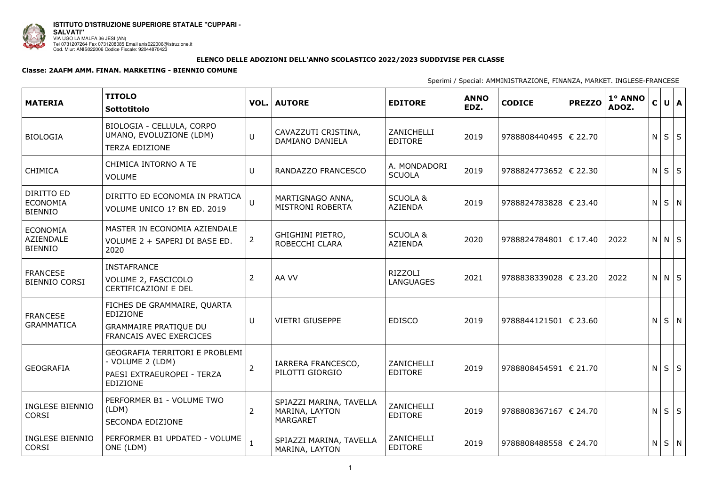

## ELENCO DELLE ADOZIONI DELL'ANNO SCOLASTICO 2022/2023 SUDDIVISE PER CLASSE

## Classe: 2AAFM AMM. FINAN. MARKETING - BIENNIO COMUNE

| <b>MATERIA</b>                                        | <b>TITOLO</b><br>Sottotitolo                                                                              |                | <b>VOL. AUTORE</b>                                           | <b>EDITORE</b>                        | <b>ANNO</b><br>EDZ. | <b>CODICE</b>           | <b>PREZZO</b> | 1º ANNO<br>ADOZ. | $\mathsf{C}$ |               | $U$ $A$    |
|-------------------------------------------------------|-----------------------------------------------------------------------------------------------------------|----------------|--------------------------------------------------------------|---------------------------------------|---------------------|-------------------------|---------------|------------------|--------------|---------------|------------|
| <b>BIOLOGIA</b>                                       | BIOLOGIA - CELLULA, CORPO<br>UMANO, EVOLUZIONE (LDM)<br><b>TERZA EDIZIONE</b>                             | $\cup$         | CAVAZZUTI CRISTINA,<br>DAMIANO DANIELA                       | ZANICHELLI<br><b>EDITORE</b>          | 2019                | 9788808440495   € 22.70 |               |                  | N            |               | $S \mid S$ |
| <b>CHIMICA</b>                                        | CHIMICA INTORNO A TE<br><b>VOLUME</b>                                                                     | U              | RANDAZZO FRANCESCO                                           | A. MONDADORI<br><b>SCUOLA</b>         | 2019                | 9788824773652   € 22.30 |               |                  |              | $N$ $ S $ $S$ |            |
| DIRITTO ED<br><b>ECONOMIA</b><br><b>BIENNIO</b>       | DIRITTO ED ECONOMIA IN PRATICA<br>VOLUME UNICO 1? BN ED. 2019                                             | $\overline{U}$ | MARTIGNAGO ANNA,<br><b>MISTRONI ROBERTA</b>                  | <b>SCUOLA &amp;</b><br>AZIENDA        | 2019                | 9788824783828   € 23.40 |               |                  |              | $N$ $S$ $N$   |            |
| <b>ECONOMIA</b><br><b>AZIENDALE</b><br><b>BIENNIO</b> | MASTER IN ECONOMIA AZIENDALE<br>VOLUME 2 + SAPERI DI BASE ED.<br>2020                                     | $\overline{2}$ | <b>GHIGHINI PIETRO,</b><br>ROBECCHI CLARA                    | <b>SCUOLA &amp;</b><br><b>AZIENDA</b> | 2020                | 9788824784801   € 17.40 |               | 2022             |              | $N$ $N$ $S$   |            |
| <b>FRANCESE</b><br><b>BIENNIO CORSI</b>               | <b>INSTAFRANCE</b><br>VOLUME 2, FASCICOLO<br><b>CERTIFICAZIONI E DEL</b>                                  | $\overline{2}$ | AA VV                                                        | RIZZOLI<br><b>LANGUAGES</b>           | 2021                | 9788838339028   € 23.20 |               | 2022             |              | $N$ $N$ $S$   |            |
| <b>FRANCESE</b><br><b>GRAMMATICA</b>                  | FICHES DE GRAMMAIRE, QUARTA<br>EDIZIONE<br><b>GRAMMAIRE PRATIQUE DU</b><br><b>FRANCAIS AVEC EXERCICES</b> | U              | <b>VIETRI GIUSEPPE</b>                                       | <b>EDISCO</b>                         | 2019                | 9788844121501           | € 23.60       |                  |              | $N$ $S$ $N$   |            |
| <b>GEOGRAFIA</b>                                      | GEOGRAFIA TERRITORI E PROBLEMI<br>- VOLUME 2 (LDM)<br>PAESI EXTRAEUROPEI - TERZA<br><b>EDIZIONE</b>       | $\overline{2}$ | IARRERA FRANCESCO,<br>PILOTTI GIORGIO                        | ZANICHELLI<br><b>EDITORE</b>          | 2019                | 9788808454591           | € 21.70       |                  | N            |               | S S        |
| <b>INGLESE BIENNIO</b><br><b>CORSI</b>                | PERFORMER B1 - VOLUME TWO<br>(LDM)<br><b>SECONDA EDIZIONE</b>                                             | $\overline{2}$ | SPIAZZI MARINA, TAVELLA<br>MARINA, LAYTON<br><b>MARGARET</b> | ZANICHELLI<br><b>EDITORE</b>          | 2019                | 9788808367167   € 24.70 |               |                  | N            |               | $S \mid S$ |
| <b>INGLESE BIENNIO</b><br><b>CORSI</b>                | PERFORMER B1 UPDATED - VOLUME<br>ONE (LDM)                                                                |                | SPIAZZI MARINA, TAVELLA<br>MARINA, LAYTON                    | ZANICHELLI<br><b>EDITORE</b>          | 2019                | 9788808488558   € 24.70 |               |                  |              | $N$ $S$ $N$   |            |

Sperimi / Special: AMMINISTRAZIONE, FINANZA, MARKET. INGLESE-FRANCESE